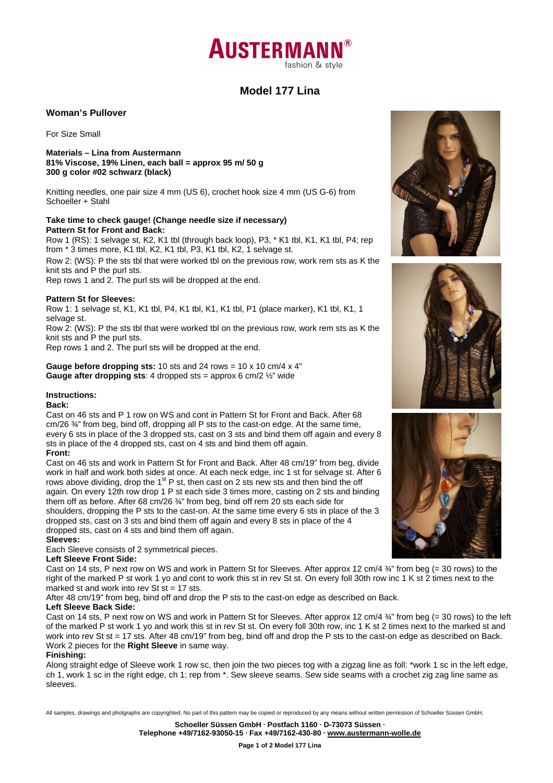# **AUSTERMAN** fashion & style

# **Model 177 Lina**

## **Woman's Pullover**

For Size Small

**Materials – Lina from Austermann 81% Viscose, 19% Linen, each ball = approx 95 m/ 50 g 300 g color #02 schwarz (black)** 

Knitting needles, one pair size 4 mm (US 6), crochet hook size 4 mm (US G-6) from Schoeller + Stahl

# **Take time to check gauge! (Change needle size if necessary) Pattern St for Front and Back:**

Row 1 (RS): 1 selvage st, K2, K1 tbl (through back loop), P3, \* K1 tbl, K1, K1 tbl, P4; rep from \* 3 times more, K1 tbl, K2, K1 tbl, P3, K1 tbl, K2, 1 selvage st.

Row 2: (WS): P the sts tbl that were worked tbl on the previous row, work rem sts as K the knit sts and P the purl sts.

Rep rows 1 and 2. The purl sts will be dropped at the end.

## **Pattern St for Sleeves:**

Row 1: 1 selvage st, K1, K1 tbl, P4, K1 tbl, K1, K1 tbl, P1 (place marker), K1 tbl, K1, 1 selvage st.

Row 2: (WS): P the sts tbl that were worked tbl on the previous row, work rem sts as K the knit sts and P the purl sts.

Rep rows 1 and 2. The purl sts will be dropped at the end.

**Gauge before dropping sts:** 10 sts and 24 rows = 10 x 10 cm/4 x 4" **Gauge after dropping sts**: 4 dropped sts = approx 6 cm/2 ½" wide

#### **Instructions:**

#### **Back:**

Cast on 46 sts and P 1 row on WS and cont in Pattern St for Front and Back. After 68 cm/26 ¾" from beg, bind off, dropping all P sts to the cast-on edge. At the same time, every 6 sts in place of the 3 dropped sts, cast on 3 sts and bind them off again and every 8 sts in place of the 4 dropped sts, cast on 4 sts and bind them off again. **Front:** 

Cast on 46 sts and work in Pattern St for Front and Back. After 48 cm/19" from beg, divide work in half and work both sides at once. At each neck edge, inc 1 st for selvage st. After 6 rows above dividing, drop the  $1<sup>st</sup>$  P st, then cast on 2 sts new sts and then bind the off again. On every 12th row drop 1 P st each side 3 times more, casting on 2 sts and binding them off as before. After 68 cm/26 ¾" from beg, bind off rem 20 sts each side for shoulders, dropping the P sts to the cast-on. At the same time every 6 sts in place of the 3 dropped sts, cast on 3 sts and bind them off again and every 8 sts in place of the 4 dropped sts, cast on 4 sts and bind them off again. **Sleeves:** 

Each Sleeve consists of 2 symmetrical pieces.

#### **Left Sleeve Front Side:**

Cast on 14 sts, P next row on WS and work in Pattern St for Sleeves. After approx 12 cm/4  $\frac{3}{4}$ " from beg (= 30 rows) to the right of the marked P st work 1 yo and cont to work this st in rev St st. On every foll 30th row inc 1 K st 2 times next to the marked st and work into rev St  $st = 17$  sts.

After 48 cm/19" from beg, bind off and drop the P sts to the cast-on edge as described on Back.

## **Left Sleeve Back Side:**

Cast on 14 sts, P next row on WS and work in Pattern St for Sleeves. After approx 12 cm/4  $\frac{3}{4}$ " from beg (= 30 rows) to the left of the marked P st work 1 yo and work this st in rev St st. On every foll 30th row, inc 1 K st 2 times next to the marked st and work into rev St st = 17 sts. After 48 cm/19" from beg, bind off and drop the P sts to the cast-on edge as described on Back. Work 2 pieces for the **Right Sleeve** in same way.

#### **Finishing:**

Along straight edge of Sleeve work 1 row sc, then join the two pieces tog with a zigzag line as foll: \*work 1 sc in the left edge, ch 1, work 1 sc in the right edge, ch 1; rep from \*. Sew sleeve seams. Sew side seams with a crochet zig zag line same as sleeves.

All samples, drawings and photgraphs are copyrighted. No part of this pattern may be copied or reproduced by any means without written permission of Schoeller Süssen GmbH.

**Schoeller Süssen GmbH · Postfach 1160 · D-73073 Süssen · Telephone +49/7162-93050-15 · Fax +49/7162-430-80 · www.austermann-wolle.de**